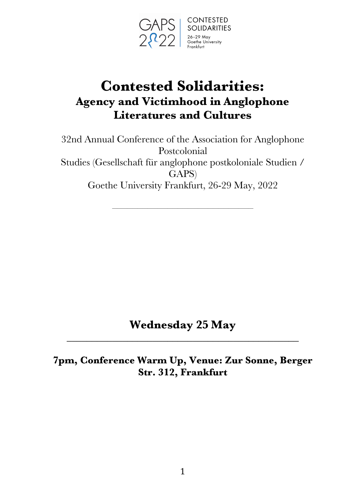

# **Contested Solidarities: Agency and Victimhood in Anglophone Literatures and Cultures**

32nd Annual Conference of the Association for Anglophone Postcolonial Studies (Gesellschaft für anglophone postkoloniale Studien / GAPS) Goethe University Frankfurt, 26-29 May, 2022

––––––––––––––––––––––––––––

**Wednesday 25 May** \_\_\_\_\_\_\_\_\_\_\_\_\_\_\_\_\_\_\_\_\_\_\_\_\_\_\_\_\_\_\_\_\_\_\_\_\_\_\_\_\_\_\_\_\_\_

**7pm, Conference Warm Up, Venue: Zur Sonne, Berger Str. 312, Frankfurt**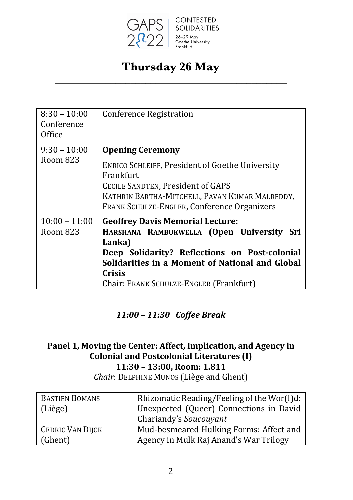

## **Thursday 26 May** \_\_\_\_\_\_\_\_\_\_\_\_\_\_\_\_\_\_\_\_\_\_\_\_\_\_\_\_\_\_\_\_\_\_\_\_\_\_\_\_\_\_\_\_\_\_

| $8:30 - 10:00$<br>Conference<br>Office | <b>Conference Registration</b>                                                                                                                                                                                                                                    |
|----------------------------------------|-------------------------------------------------------------------------------------------------------------------------------------------------------------------------------------------------------------------------------------------------------------------|
| $9:30 - 10:00$<br>Room 823             | <b>Opening Ceremony</b><br><b>ENRICO SCHLEIFF, President of Goethe University</b><br>Frankfurt<br>CECILE SANDTEN, President of GAPS<br>KATHRIN BARTHA-MITCHELL, PAVAN KUMAR MALREDDY,<br><b>FRANK SCHULZE-ENGLER, Conference Organizers</b>                       |
| $10:00 - 11:00$<br>Room 823            | <b>Geoffrey Davis Memorial Lecture:</b><br>HARSHANA RAMBUKWELLA (Open University<br>Sri<br>Lanka)<br>Deep Solidarity? Reflections on Post-colonial<br>Solidarities in a Moment of National and Global<br><b>Crisis</b><br>Chair: FRANK SCHULZE-ENGLER (Frankfurt) |

#### *11:00 – 11:30 Coffee Break*

## Panel 1, Moving the Center: Affect, Implication, and Agency in Colonial and Postcolonial Literatures (I) **11:30 – 13:00, Room: 1.811**

*Chair*: DELPHINE MUNOS (Liège and Ghent)

| <b>BASTIEN BOMANS</b>   | Rhizomatic Reading/Feeling of the Wor(l)d: |
|-------------------------|--------------------------------------------|
| (Liège)                 | Unexpected (Queer) Connections in David    |
|                         | Chariandy's Soucouyant                     |
| <b>CEDRIC VAN DIJCK</b> | Mud-besmeared Hulking Forms: Affect and    |
| (Ghent)                 | Agency in Mulk Raj Anand's War Trilogy     |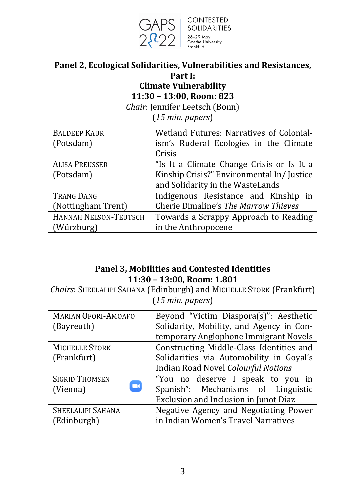

#### Panel 2, Ecological Solidarities, Vulnerabilities and Resistances, **Part I:**

## **Climate Vulnerability 11:30 – 13:00, Room: 823**

*Chair*: Jennifer Leetsch (Bonn)

(*15 min. papers*)

| <b>BALDEEP KAUR</b>   | Wetland Futures: Narratives of Colonial-  |
|-----------------------|-------------------------------------------|
| (Potsdam)             | ism's Ruderal Ecologies in the Climate    |
|                       | Crisis                                    |
| <b>ALISA PREUSSER</b> | "Is It a Climate Change Crisis or Is It a |
| (Potsdam)             | Kinship Crisis?" Environmental In/Justice |
|                       | and Solidarity in the WasteLands          |
| <b>TRANG DANG</b>     | Indigenous Resistance and Kinship in      |
| (Nottingham Trent)    | Cherie Dimaline's The Marrow Thieves      |
| HANNAH NELSON-TEUTSCH | Towards a Scrappy Approach to Reading     |
| (Würzburg)            | in the Anthropocene                       |

#### **Panel 3, Mobilities and Contested Identities 11:30 – 13:00, Room: 1.801**

**Chairs: SHEELALIPI SAHANA (Edinburgh) and MICHELLE STORK (Frankfurt)** (*15 min. papers*)

| <b>MARIAN OFORI-AMOAFO</b> | Beyond "Victim Diaspora(s)": Aesthetic     |
|----------------------------|--------------------------------------------|
| (Bayreuth)                 | Solidarity, Mobility, and Agency in Con-   |
|                            | temporary Anglophone Immigrant Novels      |
| MICHELLE STORK             | Constructing Middle-Class Identities and   |
| (Frankfurt)                | Solidarities via Automobility in Goyal's   |
|                            | <b>Indian Road Novel Colourful Notions</b> |
| <b>SIGRID THOMSEN</b>      | "You no deserve I speak to you in          |
| $\Box$<br>(Vienna)         | Spanish": Mechanisms of Linguistic         |
|                            | Exclusion and Inclusion in Junot Díaz      |
| SHEELALIPI SAHANA          | Negative Agency and Negotiating Power      |
| (Edinburgh)                | in Indian Women's Travel Narratives        |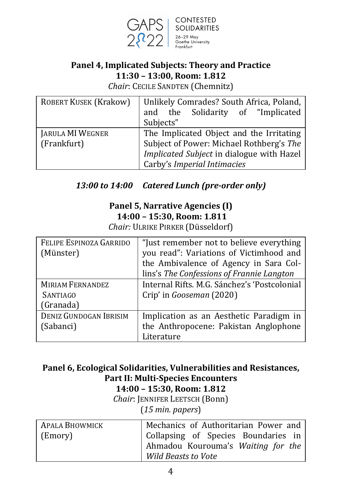

**CONTESTED** SOLIDARITIES<br>26-29 May Goethe University

### **Panel 4, Implicated Subjects: Theory and Practice 11:30 – 13:00, Room: 1.812**

*Chair: CECILE SANDTEN (Chemnitz)* 

| <b>ROBERT KUSEK (Krakow)</b> | Unlikely Comrades? South Africa, Poland,  |
|------------------------------|-------------------------------------------|
|                              | and the Solidarity of "Implicated         |
|                              | Subjects"                                 |
| JARULA MI WEGNER             | The Implicated Object and the Irritating  |
| (Frankfurt)                  | Subject of Power: Michael Rothberg's The  |
|                              | Implicated Subject in dialogue with Hazel |
|                              | Carby's Imperial Intimacies               |

### 13:00 to 14:00 Catered Lunch (pre-order only)

## **Panel 5, Narrative Agencies (I) 14:00 – 15:30, Room: 1.811**

*Chair:* ULRIKE PIRKER (Düsseldorf)

| FELIPE ESPINOZA GARRIDO       | "Just remember not to believe everything     |
|-------------------------------|----------------------------------------------|
| (Münster)                     | you read": Variations of Victimhood and      |
|                               | the Ambivalence of Agency in Sara Col-       |
|                               | lins's The Confessions of Frannie Langton    |
| <b>MIRIAM FERNANDEZ</b>       | Internal Rifts. M.G. Sánchez's 'Postcolonial |
| <b>SANTIAGO</b>               | Crip' in Gooseman (2020)                     |
| (Granada)                     |                                              |
| <b>DENIZ GUNDOGAN IBRISIM</b> | Implication as an Aesthetic Paradigm in      |
| (Sabanci)                     | the Anthropocene: Pakistan Anglophone        |
|                               | Literature                                   |

#### Panel 6, Ecological Solidarities, Vulnerabilities and Resistances, **Part II: Multi-Species Encounters 14:00 – 15:30, Room: 1.812**

*Chair*: JENNIFER LEETSCH (Bonn) (*15 min. papers*)

| APALA BHOWMICK | Mechanics of Authoritarian Power and |
|----------------|--------------------------------------|
| (Emory)        | Collapsing of Species Boundaries in  |
|                | Ahmadou Kourouma's Waiting for the   |
|                | <b>Wild Beasts to Vote</b>           |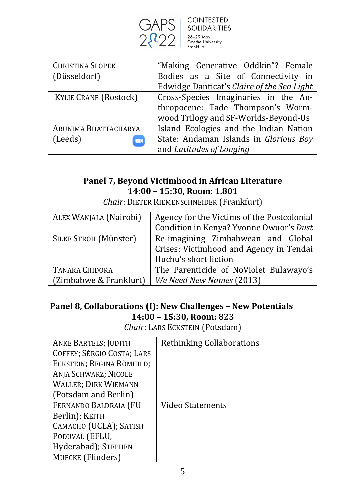

| ---------<br><b>SOLIDARITIES</b> |
|----------------------------------|
|                                  |
| 26-29 May<br>Goethe University   |
| Frankfurt                        |

| <b>CHRISTINA SLOPEK</b>      | "Making Generative Oddkin"? Female         |
|------------------------------|--------------------------------------------|
| (Düsseldorf)                 | Bodies as a Site of Connectivity in        |
|                              | Edwidge Danticat's Claire of the Sea Light |
| <b>KYLIE CRANE (Rostock)</b> | Cross-Species Imaginaries in the An-       |
|                              | thropocene: Tade Thompson's Worm-          |
|                              | wood Trilogy and SF-Worlds-Beyond-Us       |
| ARUNIMA BHATTACHARYA         | Island Ecologies and the Indian Nation     |
| (Leeds)                      | State: Andaman Islands in Glorious Boy     |
|                              | and Latitudes of Longing                   |

#### Panel 7, Beyond Victimhood in African Literature **14:00 – 15:30, Room: 1.801**

| ALEX WANJALA (Nairobi) | Agency for the Victims of the Postcolonial |
|------------------------|--------------------------------------------|
|                        | Condition in Kenya? Yvonne Owuor's Dust    |
| SILKE STROH (Münster)  | Re-imagining Zimbabwean and Global         |
|                        | Crises: Victimhood and Agency in Tendai    |
|                        | Huchu's short fiction                      |
| TANAKA CHIDORA         | The Parenticide of NoViolet Bulawayo's     |
| (Zimbabwe & Frankfurt) | We Need New Names (2013)                   |

*Chair*: DIETER RIEMENSCHNEIDER (Frankfurt)

### **Panel 8, Collaborations (I): New Challenges - New Potentials 14:00 – 15:30, Room: 823**

*Chair*: LARS ECKSTEIN (Potsdam)

| <b>ANKE BARTELS; JUDITH</b> | Rethinking Collaborations |
|-----------------------------|---------------------------|
| COFFEY; SÉRGIO COSTA; LARS  |                           |
| ECKSTEIN; REGINA RÖMHILD;   |                           |
| ANJA SCHWARZ; NICOLE        |                           |
| <b>WALLER; DIRK WIEMANN</b> |                           |
| (Potsdam and Berlin)        |                           |
| FERNANDO BALDRAIA (FU       | Video Statements          |
| Berlin); KEITH              |                           |
| CAMACHO (UCLA); SATISH      |                           |
| PODUVAL (EFLU,              |                           |
| Hyderabad); STEPHEN         |                           |
| MUECKE (Flinders)           |                           |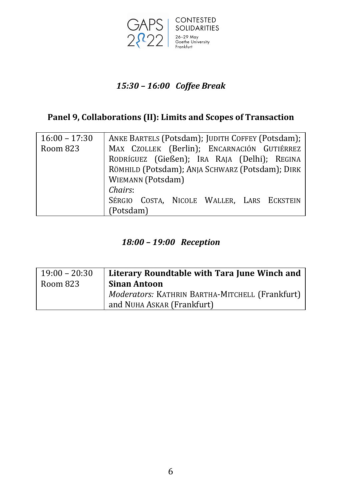

## *15:30 – 16:00 Coffee Break*

## Panel 9, Collaborations (II): Limits and Scopes of Transaction

| $16:00 - 17:30$ | ANKE BARTELS (Potsdam); JUDITH COFFEY (Potsdam); |
|-----------------|--------------------------------------------------|
| Room 823        | MAX CZOLLEK (Berlin); ENCARNACIÓN GUTIÉRREZ      |
|                 | RODRÍGUEZ (Gießen); IRA RAJA (Delhi); REGINA     |
|                 | RÖMHILD (Potsdam); ANJA SCHWARZ (Potsdam); DIRK  |
|                 | <b>WIEMANN</b> (Potsdam)                         |
|                 | Chairs:                                          |
|                 | SÉRGIO COSTA, NICOLE WALLER, LARS ECKSTEIN       |
|                 | (Potsdam)                                        |

### *18:00 – 19:00 Reception*

| $19:00 - 20:30$ | Literary Roundtable with Tara June Winch and    |
|-----------------|-------------------------------------------------|
| Room 823        | <b>Sinan Antoon</b>                             |
|                 | Moderators: KATHRIN BARTHA-MITCHELL (Frankfurt) |
|                 | and NUHA ASKAR (Frankfurt)                      |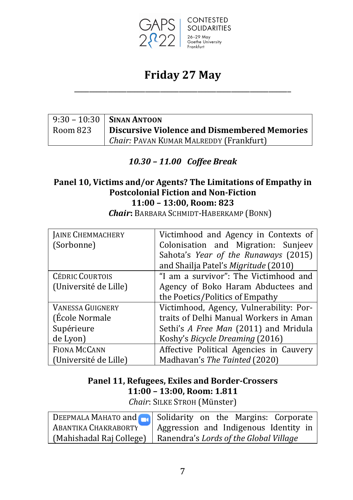

## **Friday 27 May** \_\_\_\_\_\_\_\_\_\_\_\_\_\_\_\_\_\_\_\_\_\_\_\_\_\_\_\_\_\_\_\_\_\_\_\_\_\_\_\_\_\_\_\_\_\_\_\_\_\_\_\_\_\_\_\_\_\_

|          | $9:30 - 10:30$ SINAN ANTOON                  |
|----------|----------------------------------------------|
| Room 823 | Discursive Violence and Dismembered Memories |
|          | Chair: PAVAN KUMAR MALREDDY (Frankfurt)      |

#### *10.30 – 11.00 Coffee Break*

#### Panel 10, Victims and/or Agents? The Limitations of Empathy in **Postcolonial Fiction and Non-Fiction 11:00 – 13:00, Room: 823**

| JAINE CHEMMACHERY       | Victimhood and Agency in Contexts of    |
|-------------------------|-----------------------------------------|
| (Sorbonne)              | Colonisation and Migration: Sunjeev     |
|                         | Sahota's Year of the Runaways (2015)    |
|                         | and Shailja Patel's Migritude (2010)    |
| <b>CÉDRIC COURTOIS</b>  | "I am a survivor": The Victimhood and   |
| (Université de Lille)   | Agency of Boko Haram Abductees and      |
|                         | the Poetics/Politics of Empathy         |
| <b>VANESSA GUIGNERY</b> | Victimhood, Agency, Vulnerability: Por- |
| (École Normale          | traits of Delhi Manual Workers in Aman  |
| Supérieure              | Sethi's A Free Man (2011) and Mridula   |
| de Lyon)                | Koshy's Bicycle Dreaming (2016)         |
| <b>FIONA MCCANN</b>     | Affective Political Agencies in Cauvery |
| (Université de Lille)   | Madhavan's The Tainted (2020)           |

*Chair***:** BARBARA SCHMIDT-HABERKAMP (BONN)

## Panel 11, Refugees, Exiles and Border-Crossers **11:00 – 13:00, Room: 1.811**

*Chair: SILKE STROH* (Münster)

| DEEPMALA MAHATO and <b>Ref</b> Solidarity on the Margins: Corporate |
|---------------------------------------------------------------------|
| ABANTIKA CHAKRABORTY   Aggression and Indigenous Identity in        |
| (Mahishadal Raj College)   Ranendra's Lords of the Global Village   |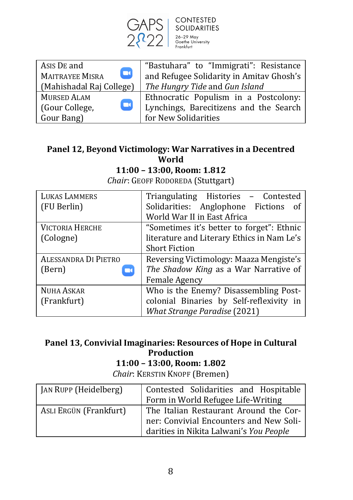

**CONTESTED** SOLIDARITIES<br>
26-29 May<br>
Goethe University

| Asis DE and<br>$\mathbf \Omega$<br><b>MAITRAYEE MISRA</b> | "Bastuhara" to "Immigrati": Resistance<br>and Refugee Solidarity in Amitav Ghosh's |
|-----------------------------------------------------------|------------------------------------------------------------------------------------|
| (Mahishadal Raj College)                                  | The Hungry Tide and Gun Island                                                     |
| <b>MURSED ALAM</b>                                        | Ethnocratic Populism in a Postcolony:                                              |
| o<br>(Gour College,                                       | Lynchings, Barecitizens and the Search                                             |
| Gour Bang)                                                | for New Solidarities                                                               |

### Panel 12, Beyond Victimology: War Narratives in a Decentred **World**

**11:00 – 13:00, Room: 1.812**

*Chair*: GEOFF RODOREDA (Stuttgart)

| <b>LUKAS LAMMERS</b>        | Triangulating Histories - Contested        |
|-----------------------------|--------------------------------------------|
| (FU Berlin)                 | Solidarities: Anglophone Fictions of       |
|                             | World War II in East Africa                |
| <b>VICTORIA HERCHE</b>      | "Sometimes it's better to forget": Ethnic  |
| (Cologne)                   | literature and Literary Ethics in Nam Le's |
|                             | <b>Short Fiction</b>                       |
| <b>ALESSANDRA DI PIETRO</b> | Reversing Victimology: Maaza Mengiste's    |
| (Bern)<br>$\mathbf{u}$      | The Shadow King as a War Narrative of      |
|                             | <b>Female Agency</b>                       |
| <b>NUHA ASKAR</b>           | Who is the Enemy? Disassembling Post-      |
| (Frankfurt)                 | colonial Binaries by Self-reflexivity in   |
|                             | <b>What Strange Paradise (2021)</b>        |

## Panel 13, Convivial Imaginaries: Resources of Hope in Cultural **Production**

### **11:00 – 13:00, Room: 1.802**

*Chair*: KERSTIN KNOPF (Bremen)

| JAN RUPP (Heidelberg)  | Contested Solidarities and Hospitable   |
|------------------------|-----------------------------------------|
|                        | Form in World Refugee Life-Writing      |
| ASLI ERGÜN (Frankfurt) | The Italian Restaurant Around the Cor-  |
|                        | ner: Convivial Encounters and New Soli- |
|                        | darities in Nikita Lalwani's You People |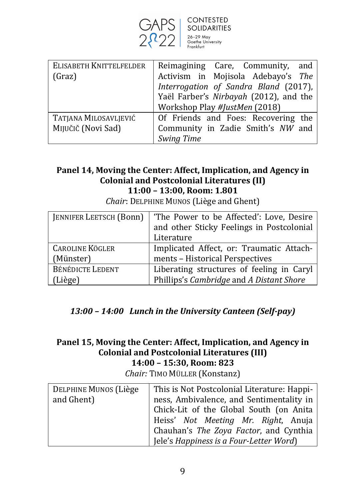

| ELISABETH KNITTELFELDER | Reimagining Care, Community, and       |
|-------------------------|----------------------------------------|
| (Graz)                  | Activism in Mojisola Adebayo's The     |
|                         | Interrogation of Sandra Bland (2017),  |
|                         | Yaël Farber's Nirbayah (2012), and the |
|                         | Workshop Play #JustMen (2018)          |
| TATJANA MILOSAVLJEVIĆ   | Of Friends and Foes: Recovering the    |
| Mijučič (Novi Sad)      | Community in Zadie Smith's NW and      |
|                         | <b>Swing Time</b>                      |

#### Panel 14, Moving the Center: Affect, Implication, and Agency in **Colonial and Postcolonial Literatures (II) 11:00 – 13:00, Room: 1.801**

| <b>JENNIFER LEETSCH (Bonn)</b> | 'The Power to be Affected': Love, Desire  |
|--------------------------------|-------------------------------------------|
|                                | and other Sticky Feelings in Postcolonial |
|                                | Literature                                |
| <b>CAROLINE KÖGLER</b>         | Implicated Affect, or: Traumatic Attach-  |
| (Münster)                      | ments - Historical Perspectives           |
| <b>BÉNÉDICTE LEDENT</b>        | Liberating structures of feeling in Caryl |
| (Liège)                        | Phillips's Cambridge and A Distant Shore  |

*Chair*: DELPHINE MUNOS (Liège and Ghent)

### *13:00 – 14:00 Lunch in the University Canteen (Self-pay)*

#### Panel 15, Moving the Center: Affect, Implication, and Agency in **Colonial and Postcolonial Literatures (III) 14:00 – 15:30, Room: 823**

*Chair:* TIMO MÜLLER (Konstanz)

| DELPHINE MUNOS (Liège | This is Not Postcolonial Literature: Happi- |
|-----------------------|---------------------------------------------|
| and Ghent)            | ness, Ambivalence, and Sentimentality in    |
|                       | Chick-Lit of the Global South (on Anita     |
|                       | Heiss' Not Meeting Mr. Right, Anuja         |
|                       | Chauhan's The Zoya Factor, and Cynthia      |
|                       | Jele's Happiness is a Four-Letter Word)     |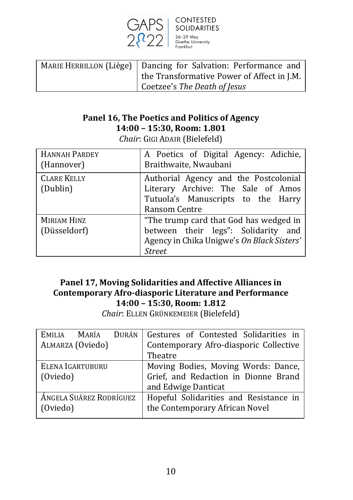

CONTESTED SOLIDARITIES<br>26–29 May<br>Goethe University

| MARIE HERBILLON (Liège)   Dancing for Salvation: Performance and |
|------------------------------------------------------------------|
| the Transformative Power of Affect in J.M.                       |
| Coetzee's The Death of Jesus                                     |

### Panel 16, The Poetics and Politics of Agency **14:00 – 15:30, Room: 1.801**

*Chair*: GIGI ADAIR (Bielefeld)

| <b>HANNAH PARDEY</b><br>(Hannover) | A Poetics of Digital Agency: Adichie,<br>Braithwaite, Nwaubani                                                                               |
|------------------------------------|----------------------------------------------------------------------------------------------------------------------------------------------|
| <b>CLARE KELLY</b><br>(Dublin)     | Authorial Agency and the Postcolonial<br>Literary Archive: The Sale of Amos<br>Tutuola's Manuscripts to the Harry<br>Ransom Centre           |
| <b>MIRIAM HINZ</b><br>(Düsseldorf) | "The trump card that God has wedged in<br>between their legs": Solidarity and<br>Agency in Chika Unigwe's On Black Sisters'<br><b>Street</b> |

#### Panel 17, Moving Solidarities and Affective Alliances in **Contemporary Afro-diasporic Literature and Performance 14:00 – 15:30, Room: 1.812**

*Chair*: ELLEN GRÜNKEMEIER (Bielefeld)

| DURÁN                        | Gestures of Contested Solidarities in                                                              |
|------------------------------|----------------------------------------------------------------------------------------------------|
| EMILIA MARÍA                 | Contemporary Afro-diasporic Collective                                                             |
| ALMARZA (Oviedo)             | Theatre                                                                                            |
| ELENA IGARTUBURU<br>(Oviedo) | Moving Bodies, Moving Words: Dance,<br>Grief, and Redaction in Dionne Brand<br>and Edwige Danticat |
| ÁNGELA SUÁREZ RODRÍGUEZ      | Hopeful Solidarities and Resistance in                                                             |
| (Oviedo)                     | the Contemporary African Novel                                                                     |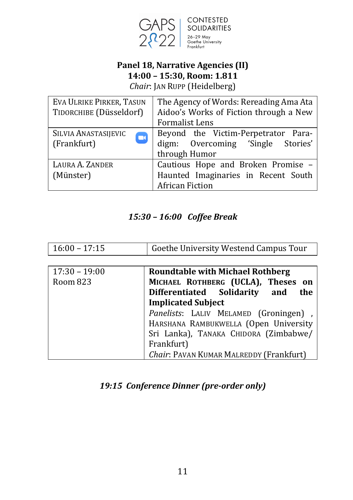

#### **Panel 18, Narrative Agencies (II) 14:00 – 15:30, Room: 1.811** *Chair*: JAN RUPP (Heidelberg)

EVA ULRIKE PIRKER, TASUN The Agency of Words: Rereading Ama Ata TIDORCHIBE (Düsseldorf) Aidoo's Works of Fiction through a New Formalist Lens Beyond the Victim-Perpetrator Para-SILVIA ANASTASIJEVIC  $\Box$ (Frankfurt) digm: Overcoming 'Single Stories' through Humor LAURA A. ZANDER Cautious Hope and Broken Promise -Haunted Imaginaries in Recent South (Münster) African Fiction

#### *15:30 – 16:00 Coffee Break*

| $16:00 - 17:15$ | Goethe University Westend Campus Tour |  |
|-----------------|---------------------------------------|--|
|                 |                                       |  |

| $17:30 - 19:00$ | <b>Roundtable with Michael Rothberg</b>                                 |
|-----------------|-------------------------------------------------------------------------|
| Room 823        | MICHAEL ROTHBERG (UCLA), Theses on<br>Differentiated Solidarity and the |
|                 | <b>Implicated Subject</b>                                               |
|                 | Panelists: LALIV MELAMED (Groningen),                                   |
|                 | HARSHANA RAMBUKWELLA (Open University                                   |
|                 | Sri Lanka), TANAKA CHIDORA (Zimbabwe/                                   |
|                 | Frankfurt)                                                              |
|                 | Chair: PAVAN KUMAR MALREDDY (Frankfurt)                                 |

#### 19:15 Conference Dinner (pre-order only)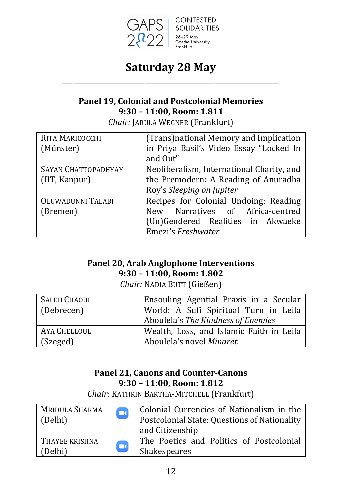

## **Saturday 28 May** \_\_\_\_\_\_\_\_\_\_\_\_\_\_\_\_\_\_\_\_\_\_\_\_\_\_\_\_\_\_\_\_\_\_\_\_\_\_\_\_\_\_\_\_\_\_\_\_\_\_\_\_\_\_\_\_\_\_

#### **Panel 19, Colonial and Postcolonial Memories 9:30 – 11:00, Room: 1.811**

*Chair:* JARULA WEGNER (Frankfurt)

| RITA MARICOCCHI            | (Trans) national Memory and Implication   |
|----------------------------|-------------------------------------------|
| (Münster)                  | in Priya Basil's Video Essay "Locked In   |
|                            | and Out"                                  |
| <b>SAYAN CHATTOPADHYAY</b> | Neoliberalism, International Charity, and |
| (IIT, Kanpur)              | the Premodern: A Reading of Anuradha      |
|                            | Roy's Sleeping on Jupiter                 |
| OLUWADUNNI TALABI          | Recipes for Colonial Undoing: Reading     |
| (Bremen)                   | New Narratives of Africa-centred          |
|                            | (Un)Gendered Realities in Akwaeke         |
|                            | Emezi's Freshwater                        |

### **Panel 20, Arab Anglophone Interventions 9:30 – 11:00, Room: 1.802**

*Chair:* NADIA BUTT (Gießen)

| <b>SALEH CHAOUI</b> | Ensouling Agential Praxis in a Secular   |
|---------------------|------------------------------------------|
| (Debrecen)          | World: A Sufi Spiritual Turn in Leila    |
|                     | Aboulela's The Kindness of Enemies       |
| AYA CHELLOUL        | Wealth, Loss, and Islamic Faith in Leila |
| (Szeged)            | Aboulela's novel Minaret.                |

#### **Panel 21, Canons and Counter-Canons 9:30 – 11:00, Room: 1.812**

*Chair:* KATHRIN BARTHA-MITCHELL (Frankfurt)

| MRIDULA SHARMA                      | Colonial Currencies of Nationalism in the                |
|-------------------------------------|----------------------------------------------------------|
| $\blacksquare$                      | Postcolonial State: Questions of Nationality             |
| (Delhi)                             | and Citizenship                                          |
| THAYEE KRISHNA<br>$\Box$<br>(Delhi) | The Poetics and Politics of Postcolonial<br>Shakespeares |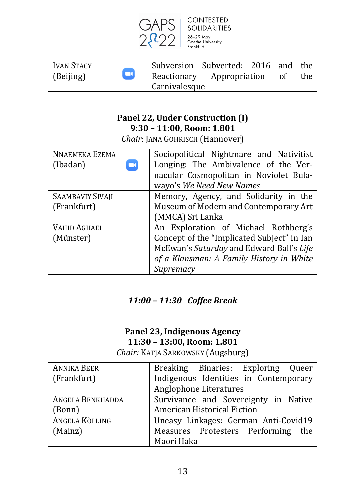

| Ivan Stacy          | Subversion Subverted: 2016 and the |  |    |     |
|---------------------|------------------------------------|--|----|-----|
| $\Box$<br>(Beijing) | Reactionary Appropriation          |  | ot | the |
|                     | Carnivalesque                      |  |    |     |

#### **Panel 22, Under Construction (I) 9:30 – 11:00, Room: 1.801**

*Chair*: JANA GOHRISCH (Hannover)

| <b>NNAEMEKA EZEMA</b> | Sociopolitical Nightmare and Nativitist    |
|-----------------------|--------------------------------------------|
| (Ibadan)              | Longing: The Ambivalence of the Ver-       |
|                       | nacular Cosmopolitan in Noviolet Bula-     |
|                       | wayo's We Need New Names                   |
| SAAMBAVIY SIVAJI      | Memory, Agency, and Solidarity in the      |
| (Frankfurt)           | Museum of Modern and Contemporary Art      |
|                       | (MMCA) Sri Lanka                           |
| <b>VAHID AGHAEI</b>   | An Exploration of Michael Rothberg's       |
| (Münster)             | Concept of the "Implicated Subject" in Ian |
|                       | McEwan's Saturday and Edward Ball's Life   |
|                       | of a Klansman: A Family History in White   |
|                       | Supremacy                                  |

## *11:00 – 11:30 Coffee Break*

### **Panel 23, Indigenous Agency 11:30 – 13:00, Room: 1.801**

*Chair:* KATJA SARKOWSKY (Augsburg)

| <b>ANNIKA BEER</b>      | Breaking Binaries: Exploring Queer    |
|-------------------------|---------------------------------------|
| (Frankfurt)             | Indigenous Identities in Contemporary |
|                         | Anglophone Literatures                |
| <b>ANGELA BENKHADDA</b> | Survivance and Sovereignty in Native  |
| (Bonn)                  | American Historical Fiction           |
| ANGELA KÖLLING          | Uneasy Linkages: German Anti-Covid19  |
| (Mainz)                 | Measures Protesters Performing the    |
|                         | Maori Haka                            |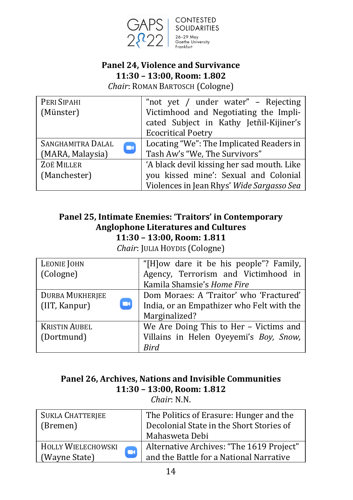

**CONTESTED** SOLIDARITIES<br>26-29 May<br>Goethe University

## **Panel 24, Violence and Survivance 11:30 – 13:00, Room: 1.802**

*Chair*: ROMAN BARTOSCH (Cologne)

| PERI SIPAHI                         | "not yet / under water" - Rejecting        |
|-------------------------------------|--------------------------------------------|
| (Münster)                           | Victimhood and Negotiating the Impli-      |
|                                     | cated Subject in Kathy Jetñil-Kijiner's    |
|                                     | <b>Ecocritical Poetry</b>                  |
| SANGHAMITRA DALAL<br>$\blacksquare$ | Locating "We": The Implicated Readers in   |
| (MARA, Malaysia)                    | Tash Aw's "We, The Survivors"              |
| ZOË MILLER                          | 'A black devil kissing her sad mouth. Like |
| (Manchester)                        | you kissed mine': Sexual and Colonial      |
|                                     | Violences in Jean Rhys' Wide Sargasso Sea  |

#### **Panel 25, Intimate Enemies: 'Traitors' in Contemporary Anglophone Literatures and Cultures 11:30 – 13:00, Room: 1.811**

*Chair*: JULIA HOYDIS (Cologne)

| LEONIE JOHN            | "[H]ow dare it be his people"? Family,    |  |
|------------------------|-------------------------------------------|--|
| (Cologne)              | Agency, Terrorism and Victimhood in       |  |
|                        | Kamila Shamsie's Home Fire                |  |
| <b>DURBA MUKHERJEE</b> | Dom Moraes: A 'Traitor' who 'Fractured'   |  |
| (IIT, Kanpur)          | India, or an Empathizer who Felt with the |  |
|                        | Marginalized?                             |  |
| <b>KRISTIN AUBEL</b>   | We Are Doing This to Her - Victims and    |  |
| (Dortmund)             | Villains in Helen Oyeyemi's Boy, Snow,    |  |
|                        | Rird                                      |  |

## Panel 26, Archives, Nations and Invisible Communities **11:30 – 13:00, Room: 1.812**

*Chair*: N.N.

| <b>SUKLA CHATTERJEE</b><br>(Bremen)      | The Politics of Erasure: Hunger and the<br>Decolonial State in the Short Stories of<br>Mahasweta Debi |
|------------------------------------------|-------------------------------------------------------------------------------------------------------|
| HOLLY WIELECHOWSKI<br>m<br>(Wayne State) | Alternative Archives: "The 1619 Project"<br>and the Battle for a National Narrative                   |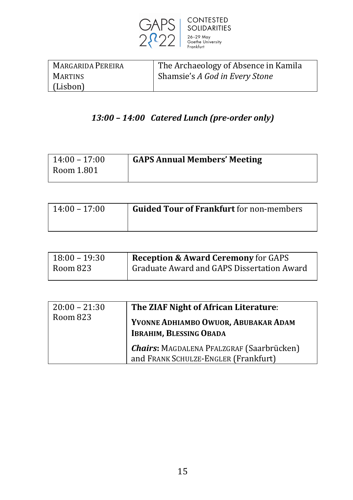

| MARGARIDA PEREIRA | The Archaeology of Absence in Kamila |
|-------------------|--------------------------------------|
| <b>MARTINS</b>    | Shamsie's A God in Every Stone       |
| (Lisbon)          |                                      |

## *13:00 – 14:00 Catered Lunch (pre-order only)*

| $14:00 - 17:00$ | <b>GAPS Annual Members' Meeting</b> |
|-----------------|-------------------------------------|
| Room 1.801      |                                     |
|                 |                                     |

| $14:00 - 17:00$ | <b>Guided Tour of Frankfurt</b> for non-members |
|-----------------|-------------------------------------------------|
|                 |                                                 |

| $18:00 - 19:30$ | <b>Reception &amp; Award Ceremony for GAPS</b> |
|-----------------|------------------------------------------------|
| Room 823        | Graduate Award and GAPS Dissertation Award     |

| $20:00 - 21:30$<br>Room 823 | The ZIAF Night of African Literature:<br>YVONNE ADHIAMBO OWUOR, ABUBAKAR ADAM<br><b>IBRAHIM, BLESSING OBADA</b> |
|-----------------------------|-----------------------------------------------------------------------------------------------------------------|
|                             | <b>Chairs:</b> MAGDALENA PFALZGRAF (Saarbrücken)<br>and FRANK SCHULZE-ENGLER (Frankfurt)                        |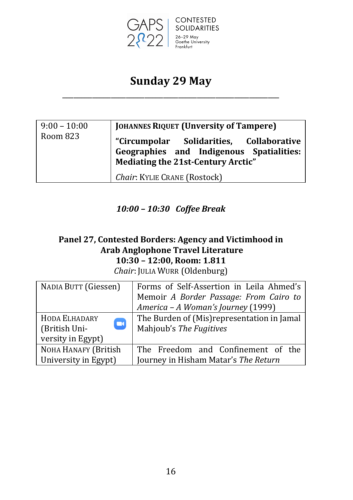

## **Sunday 29 May** \_\_\_\_\_\_\_\_\_\_\_\_\_\_\_\_\_\_\_\_\_\_\_\_\_\_\_\_\_\_\_\_\_\_\_\_\_\_\_\_\_\_\_\_\_\_\_\_\_\_\_\_\_\_\_\_\_\_

| $9:00 - 10:00$ | <b>JOHANNES RIQUET (Unversity of Tampere)</b>                                                                              |
|----------------|----------------------------------------------------------------------------------------------------------------------------|
| Room 823       | "Circumpolar Solidarities, Collaborative<br>Geographies and Indigenous Spatialities:<br>Mediating the 21st-Century Arctic" |
|                | Chair: KYLIE CRANE (Rostock)                                                                                               |

#### *10:00 – 10:30 Coffee Break*

## Panel 27, Contested Borders: Agency and Victimhood in **Arab Anglophone Travel Literature 10:30 – 12:00, Room: 1.811**

*Chair*: JULIA WURR (Oldenburg)

| NADIA BUTT (Giessen)    | Forms of Self-Assertion in Leila Ahmed's    |
|-------------------------|---------------------------------------------|
|                         | Memoir A Border Passage: From Cairo to      |
|                         | America - A Woman's Journey (1999)          |
| HODA ELHADARY           | The Burden of (Mis) representation in Jamal |
| $\Box$<br>(British Uni- | Mahjoub's The Fugitives                     |
| versity in Egypt)       |                                             |
| NOHA HANAFY (British    | The Freedom and Confinement of the          |
| University in Egypt)    | Journey in Hisham Matar's The Return        |